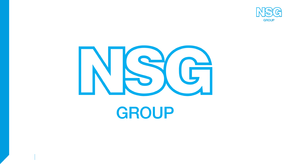



# **GROUP**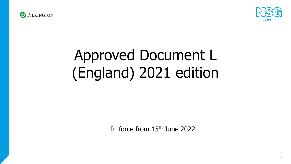



# Approved Document L (England) 2021 edition

In force from 15th June 2022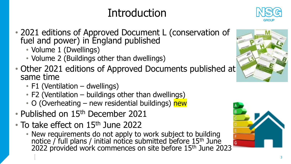## Introduction



- 2021 editions of Approved Document L (conservation of fuel and power) in England published
	- Volume 1 (Dwellings)
	- Volume 2 (Buildings other than dwellings)
- Other 2021 editions of Approved Documents published at same time
	- F1 (Ventilation dwellings)
	- F2 (Ventilation buildings other than dwellings)
	- O (Overheating new residential buildings) new
- Published on 15<sup>th</sup> December 2021
- To take effect on 15<sup>th</sup> June 2022
	- New requirements do not apply to work subject to building notice / full plans / initial notice submitted before 15<sup>th</sup> June 2022 provided work commences on site before 15<sup>th</sup> June 2023



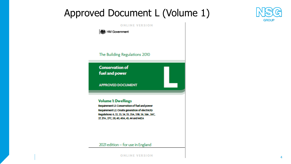### Approved Document L (Volume 1)

#### **ONLINE VERSION**



The Building Regulations 2010

**Conservation of** fuel and power

**APPROVED DOCUMENT** 

### **Volume 1: Dwellings**

Requirement Lt: Conservation of fuel and power Requirement L2: Onsite generation of electricity Regulations: 6, 22, 23, 24, 25, 25A, 25B, 26, 26A, 26C, 27, 27A, 27C, 28, 40, 40A, 43, 44 and 44ZA

2021 edition - for use in England



**GROUP**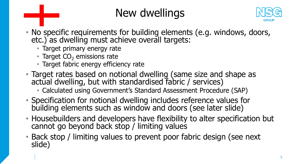## New dwellings



- No specific requirements for building elements (e.g. windows, doors, etc.) as dwelling must achieve overall targets:
	- Target primary energy rate
	- Target  $CO<sub>2</sub>$  emissions rate
	- Target fabric energy efficiency rate
- Target rates based on notional dwelling (same size and shape as actual dwelling, but with standardised fabric / services)
	- Calculated using Government's Standard Assessment Procedure (SAP)
- Specification for notional dwelling includes reference values for building elements such as window and doors (see later slide)
- Housebuilders and developers have flexibility to alter specification but cannot go beyond back stop / limiting values
- Back stop / limiting values to prevent poor fabric design (see next slide)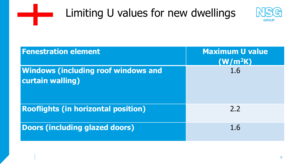

<u>an dia ka</u>



| <b>Fenestration element</b>                                    | <b>Maximum U value</b><br>(W/m <sup>2</sup> K) |
|----------------------------------------------------------------|------------------------------------------------|
| <b>Windows (including roof windows and</b><br>curtain walling) | 1.6                                            |
| <b>Rooflights (in horizontal position)</b>                     | 2.2                                            |
| <b>Doors (including glazed doors)</b>                          | 1.6                                            |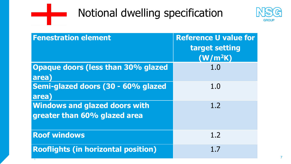

معارضه



| <b>Fenestration element</b>                                          | <b>Reference U value for</b><br>target setting<br>(W/m <sup>2</sup> K) |
|----------------------------------------------------------------------|------------------------------------------------------------------------|
| <b>Opaque doors (less than 30% glazed)</b><br>area)                  | 1.0                                                                    |
| Semi-glazed doors (30 - 60% glazed<br>area)                          | 1.0                                                                    |
| <b>Windows and glazed doors with</b><br>greater than 60% glazed area | 1.2                                                                    |
| <b>Roof windows</b>                                                  | 1.2                                                                    |
| <b>Rooflights (in horizontal position)</b>                           | 1.7                                                                    |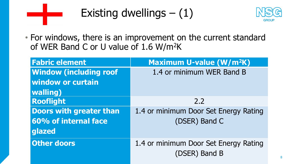

Existing dwellings  $- (1)$ 



• For windows, there is an improvement on the current standard of WER Band C or U value of 1.6 W/m<sup>2</sup>K

| <b>Fabric element</b>         | <b>Maximum U-value (W/m<sup>2</sup>K)</b> |
|-------------------------------|-------------------------------------------|
| <b>Window (including roof</b> | 1.4 or minimum WER Band B                 |
| <b>window or curtain</b>      |                                           |
| <b>walling</b> )              |                                           |
| <b>Rooflight</b>              | 2.2                                       |
| Doors with greater than       | 1.4 or minimum Door Set Energy Rating     |
| 60% of internal face          | (DSER) Band C                             |
| glazed                        |                                           |
| <b>Other doors</b>            | 1.4 or minimum Door Set Energy Rating     |
|                               | (DSER) Band B                             |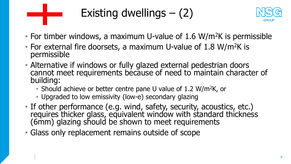

Existing dwellings  $-$  (2)



- For timber windows, a maximum U-value of 1.6 W/m<sup>2</sup>K is permissible
- For external fire doorsets, a maximum U-value of 1.8 W/m<sup>2</sup>K is permissible
- Alternative if windows or fully glazed external pedestrian doors cannot meet requirements because of need to maintain character of building:
	- Should achieve or better centre pane U value of 1.2 W/m<sup>2</sup>K, or
	- Upgraded to low emissivity (low-e) secondary glazing
- If other performance (e.g. wind, safety, security, acoustics, etc.) requires thicker glass, equivalent window with standard thickness (6mm) glazing should be shown to meet requirements
- Glass only replacement remains outside of scope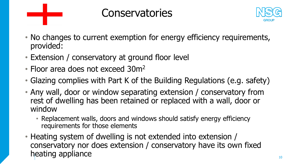

### **Conservatories**



- No changes to current exemption for energy efficiency requirements, provided:
- Extension / conservatory at ground floor level
- Floor area does not exceed 30m<sup>2</sup>
- Glazing complies with Part K of the Building Regulations (e.g. safety)
- Any wall, door or window separating extension / conservatory from rest of dwelling has been retained or replaced with a wall, door or window
	- Replacement walls, doors and windows should satisfy energy efficiency requirements for those elements
- Heating system of dwelling is not extended into extension / conservatory nor does extension / conservatory have its own fixed heating appliance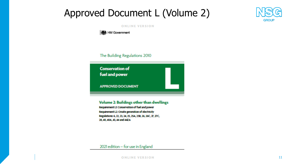### Approved Document L (Volume 2)



#### **ONLINE VERSION**

**機** HM Government

The Building Regulations 2010

**Conservation of** fuel and power **APPROVED DOCUMENT** 

Volume 2: Buildings other than dwellings

Requirement Lt: Conservation of fuel and power Requirement L2: Onsite generation of electricity Regulations: 6, 22, 23, 24, 25, 25A, 25B, 26, 26C, 27, 27C, 28, 40, 40A, 43, 44 and 44ZA

2021 edition - for use in England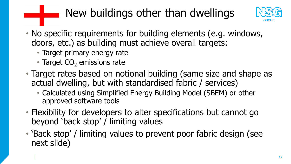## New buildings other than dwellings



- No specific requirements for building elements (e.g. windows, doors, etc.) as building must achieve overall targets:
	- Target primary energy rate
	- Target  $CO<sub>2</sub>$  emissions rate
- Target rates based on notional building (same size and shape as actual dwelling, but with standardised fabric / services)
	- Calculated using Simplified Energy Building Model (SBEM) or other approved software tools
- Flexibility for developers to alter specifications but cannot go beyond 'back stop' / limiting values
- 'Back stop' / limiting values to prevent poor fabric design (see next slide)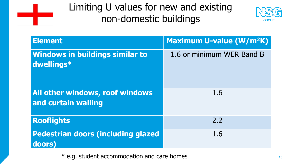



| <b>Element</b>                                         | Maximum U-value (W/m <sup>2</sup> K) |
|--------------------------------------------------------|--------------------------------------|
| <b>Windows in buildings similar to</b><br>dwellings*   | 1.6 or minimum WER Band B            |
| All other windows, roof windows<br>and curtain walling | 1.6                                  |
| <b>Rooflights</b>                                      | 2,2                                  |
| <b>Pedestrian doors (including glazed)</b><br>doors)   | 1.6                                  |

\* e.g. student accommodation and care homes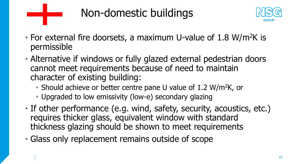



- For external fire doorsets, a maximum U-value of  $1.8 \text{ W/m}^2\text{K}$  is permissible
- Alternative if windows or fully glazed external pedestrian doors cannot meet requirements because of need to maintain character of existing building:
	- Should achieve or better centre pane U value of 1.2 W/m<sup>2</sup>K, or
	- Upgraded to low emissivity (low-e) secondary glazing
- If other performance (e.g. wind, safety, security, acoustics, etc.) requires thicker glass, equivalent window with standard thickness glazing should be shown to meet requirements
- Glass only replacement remains outside of scope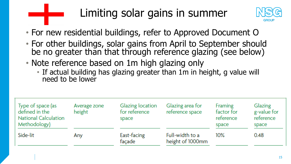

## Limiting solar gains in summer



- For new residential buildings, refer to Approved Document O
- For other buildings, solar gains from April to September should be no greater than that through reference glazing (see below)
- Note reference based on 1m high glazing only
	- If actual building has glazing greater than 1m in height, g value will need to be lower

| Type of space (as<br>defined in the<br><b>National Calculation</b><br>Methodology) | Average zone<br>height | <b>Glazing location</b><br>for reference<br>space | Glazing area for<br>reference space | Framing<br>factor for<br>reference<br>space | Glazing<br>g-value for<br>reference<br>space |
|------------------------------------------------------------------------------------|------------------------|---------------------------------------------------|-------------------------------------|---------------------------------------------|----------------------------------------------|
| Side-lit                                                                           | Any                    | East-facing<br>façade                             | Full-width to a<br>height of 1000mm | $10\%$                                      | 0.48                                         |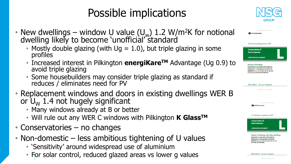## Possible implications



| /m <sup>2</sup> K for notional | <b>ONLINE VERSION</b><br><b>越</b> HM Government                                                                                                                                                                                                                                  |
|--------------------------------|----------------------------------------------------------------------------------------------------------------------------------------------------------------------------------------------------------------------------------------------------------------------------------|
| glazing in some                | The Building Regulations 2010<br><b>Conservation of</b><br>fuel and power                                                                                                                                                                                                        |
| Ivantage (Ug 0.9) to           | <b>APPROVED DOCUMENT</b><br><b>Volume 1: Dwellings</b><br>Requirement Lt: Conservation of fuel and power<br>Requirement L2: Onsite generation of electricity<br>Regulations: 6, 22, 23, 24, 25, 25A, 25B, 26, 26A, 26C,                                                          |
| is standard if                 | 27, 27A, 27C, 28, 40, 40A, 43, 44 and 44ZA<br>2021 edition - for use in England                                                                                                                                                                                                  |
| dwellings WER B                | <b>ONLINE VERSION</b>                                                                                                                                                                                                                                                            |
|                                | <b>ONLINE VERSION</b><br><b>Note HM Government</b>                                                                                                                                                                                                                               |
| <b>K</b> Glass™                | The Building Regulations 2010<br><b>Conservation of</b><br>fuel and power                                                                                                                                                                                                        |
| U values                       | <b>APPROVED DOCUMENT</b><br><b>Volume 2: Buildings other than dwellings</b><br>Requirement Lt: Conservation of fuel and power<br>Requirement L2: Onsite generation of electricity<br>Regulations: 6, 22, 23, 24, 25, 25A, 25B, 26, 26C, 27, 27C,<br>28, 40, 40A, 43, 44 and 44ZA |

- New dwellings window U value  $(U_w)$  1.2 W/m<sup>2</sup>K for notional dwelling likely to become 'unofficial' standard
	- Mostly double glazing (with  $Uq = 1.0$ ), but triple  $q$ profiles
	- Increased interest in Pilkington **energiKare<sup>TM</sup>** Ad avoid triple glazing
	- Some housebuilders may consider triple glazing a reduces / eliminates need for PV
- Replacement windows and doors in existing of or  $U_w$  1.4 not hugely significant
	- Many windows already at B or better
	- Will rule out any WER C windows with Pilkington
- Conservatories no changes
- Non-domestic  $-$  less ambitious tightening of
	- 'Sensitivity' around widespread use of aluminium
	- For solar control, reduced glazed areas vs lower g values

2021 edition – for use in England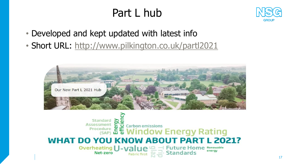## Part L hub



- Developed and kept updated with latest info
- Short URL: <http://www.pilkington.co.uk/partl2021>



#### Standard Assessment Carbon emissions Procedure **edure 苫毛 Window Energy Rating WHAT DO YOU KNOW ABOUT PART L 2021?**  $\equiv$  Future Home Renewable Overheating **U-Value** energy Net-zero **Standards Fabric first**